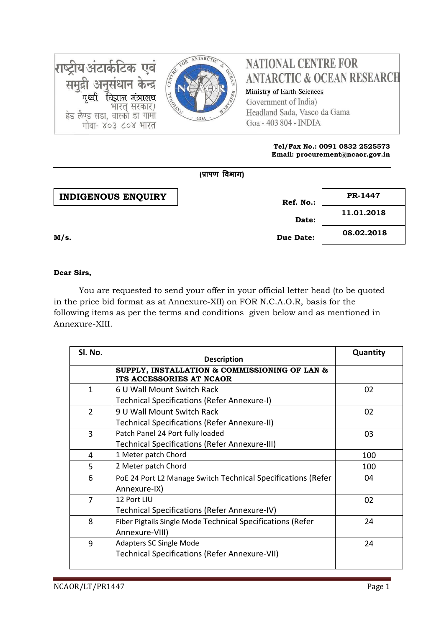

# **NATIONAL CENTRE FOR ANTARCTIC & OCEAN RESEARCH**

Ministry of Earth Sciences Government of India) Headland Sada, Vasco da Gama Goa - 403 804 - INDIA

#### **Tel/Fax No.: 0091 0832 2525573 Email: procurement@ncaor.gov.in**

|                           | (प्रापण विभाग) |            |
|---------------------------|----------------|------------|
| <b>INDIGENOUS ENQUIRY</b> | Ref. No.:      | PR-1447    |
|                           | Date:          | 11.01.2018 |
| M/s.                      | Due Date:      | 08.02.2018 |

### **Dear Sirs,**

राष्ट्रीय अंटार्कटिक एवं

समुद्री अनुसंधान केन्द्र

हेड लैण्ड सडा, वास्को डा गामा

पृथ्वी विज्ञान मंत्रालच

गोवा- ४०३ ८०४ भारत

भारत् सरकार)

You are requested to send your offer in your official letter head (to be quoted in the price bid format as at Annexure-XII) on FOR N.C.A.O.R, basis for the following items as per the terms and conditions given below and as mentioned in Annexure-XIII.

| SI. No.        | <b>Description</b>                                                           | Quantity |
|----------------|------------------------------------------------------------------------------|----------|
|                | SUPPLY, INSTALLATION & COMMISSIONING OF LAN &<br>ITS ACCESSORIES AT NCAOR    |          |
| $\mathbf{1}$   | 6 U Wall Mount Switch Rack                                                   | 02       |
|                | Technical Specifications (Refer Annexure-I)                                  |          |
| $\overline{2}$ | 9 U Wall Mount Switch Rack                                                   | 02       |
|                | <b>Technical Specifications (Refer Annexure-II)</b>                          |          |
| 3              | Patch Panel 24 Port fully loaded                                             | 03       |
|                | Technical Specifications (Refer Annexure-III)                                |          |
| 4              | 1 Meter patch Chord                                                          | 100      |
| 5              | 2 Meter patch Chord                                                          | 100      |
| 6              | PoE 24 Port L2 Manage Switch Technical Specifications (Refer<br>Annexure-IX) | 04       |
| 7              | 12 Port LIU                                                                  | 02       |
|                | Technical Specifications (Refer Annexure-IV)                                 |          |
| 8              | Fiber Pigtails Single Mode Technical Specifications (Refer                   | 24       |
|                | Annexure-VIII)                                                               |          |
| 9              | <b>Adapters SC Single Mode</b>                                               | 24       |
|                | Technical Specifications (Refer Annexure-VII)                                |          |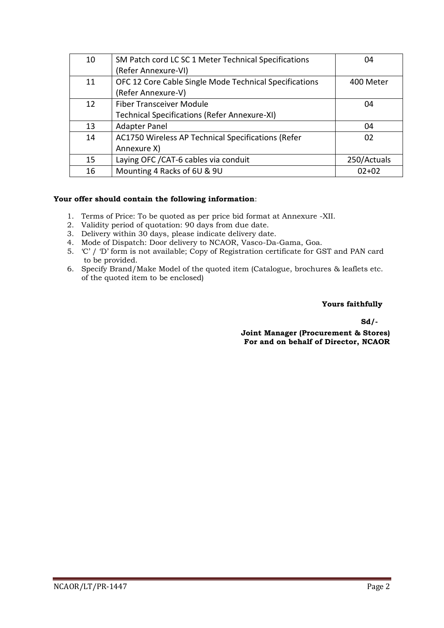| 10 | SM Patch cord LC SC 1 Meter Technical Specifications   | 04          |
|----|--------------------------------------------------------|-------------|
|    | (Refer Annexure-VI)                                    |             |
| 11 | OFC 12 Core Cable Single Mode Technical Specifications | 400 Meter   |
|    | (Refer Annexure-V)                                     |             |
| 12 | <b>Fiber Transceiver Module</b>                        | 04          |
|    | Technical Specifications (Refer Annexure-XI)           |             |
| 13 | <b>Adapter Panel</b>                                   | 04          |
| 14 | AC1750 Wireless AP Technical Specifications (Refer     | 02          |
|    | Annexure X)                                            |             |
| 15 | Laying OFC / CAT-6 cables via conduit                  | 250/Actuals |
| 16 | Mounting 4 Racks of 6U & 9U                            | $02 + 02$   |

### **Your offer should contain the following information**:

- 1. Terms of Price: To be quoted as per price bid format at Annexure -XII.
- 2. Validity period of quotation: 90 days from due date.
- 3. Delivery within 30 days, please indicate delivery date.
- 4. Mode of Dispatch: Door delivery to NCAOR, Vasco-Da-Gama, Goa.
- 5. 'C' / 'D' form is not available; Copy of Registration certificate for GST and PAN card to be provided.
- 6. Specify Brand/Make Model of the quoted item (Catalogue, brochures & leaflets etc. of the quoted item to be enclosed)

#### **Yours faithfully**

**Sd/-**

**Joint Manager (Procurement & Stores) For and on behalf of Director, NCAOR**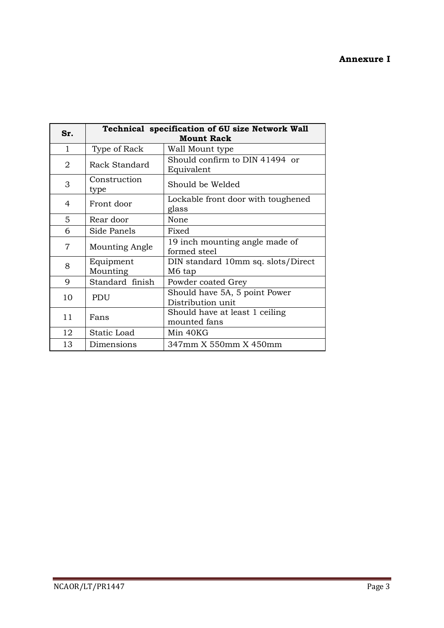### **Annexure I**

|                |                       | Technical specification of 6U size Network Wall    |
|----------------|-----------------------|----------------------------------------------------|
| Sr.            |                       | <b>Mount Rack</b>                                  |
| $\mathbf{1}$   | Type of Rack          | Wall Mount type                                    |
| 2              | Rack Standard         | Should confirm to DIN 41494 or<br>Equivalent       |
| 3              | Construction<br>type  | Should be Welded                                   |
| 4              | Front door            | Lockable front door with toughened<br>glass        |
| 5              | Rear door             | None                                               |
| 6              | Side Panels           | Fixed                                              |
| $\overline{7}$ | <b>Mounting Angle</b> | 19 inch mounting angle made of<br>formed steel     |
| 8              | Equipment<br>Mounting | DIN standard 10mm sq. slots/Direct<br>M6 tap       |
| 9              | Standard finish       | Powder coated Grey                                 |
| 10             | PDU                   | Should have 5A, 5 point Power<br>Distribution unit |
| 11             | Fans                  | Should have at least 1 ceiling<br>mounted fans     |
| 12             | Static Load           | Min 40KG                                           |
| 13             | Dimensions            | 347mm X 550mm X 450mm                              |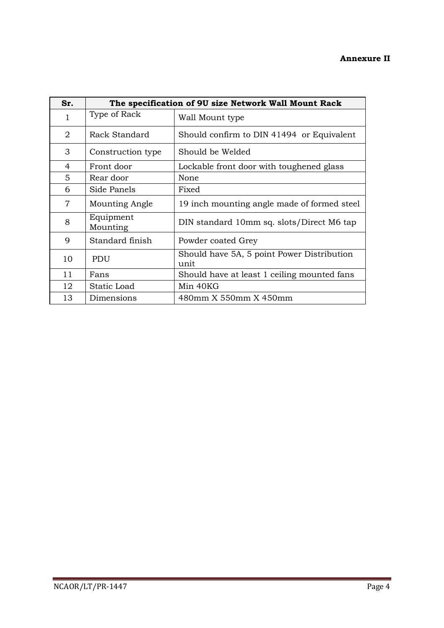### **Annexure II**

| Sr. |                       | The specification of 9U size Network Wall Mount Rack |
|-----|-----------------------|------------------------------------------------------|
| 1   | Type of Rack          | Wall Mount type                                      |
| 2   | Rack Standard         | Should confirm to DIN 41494 or Equivalent            |
| 3   | Construction type     | Should be Welded                                     |
| 4   | Front door            | Lockable front door with toughened glass             |
| 5   | Rear door             | None                                                 |
| 6   | Side Panels           | Fixed                                                |
| 7   | Mounting Angle        | 19 inch mounting angle made of formed steel          |
| 8   | Equipment<br>Mounting | DIN standard 10mm sq. slots/Direct M6 tap            |
| 9   | Standard finish       | Powder coated Grey                                   |
| 10  | PDU                   | Should have 5A, 5 point Power Distribution<br>unit   |
| 11  | Fans                  | Should have at least 1 ceiling mounted fans          |
| 12  | Static Load           | Min 40KG                                             |
| 13  | Dimensions            | 480mm X 550mm X 450mm                                |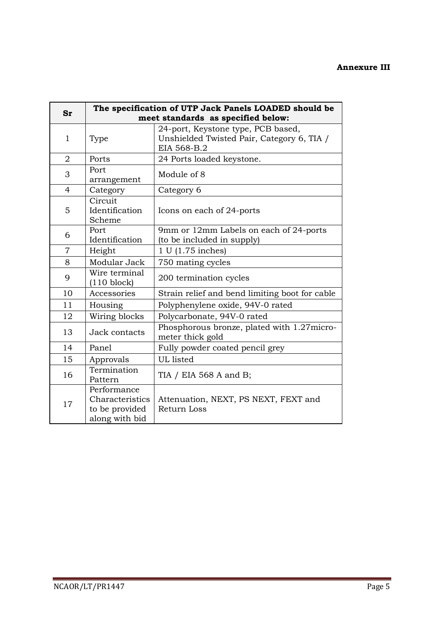### **Annexure III**

| Sr             |                                                                    | The specification of UTP Jack Panels LOADED should be<br>meet standards as specified below:     |
|----------------|--------------------------------------------------------------------|-------------------------------------------------------------------------------------------------|
| 1              | Type                                                               | 24-port, Keystone type, PCB based,<br>Unshielded Twisted Pair, Category 6, TIA /<br>EIA 568-B.2 |
| $\overline{2}$ | Ports                                                              | 24 Ports loaded keystone.                                                                       |
| 3              | Port<br>arrangement                                                | Module of 8                                                                                     |
| 4              | Category                                                           | Category 6                                                                                      |
| 5              | Circuit<br>Identification<br>Scheme                                | Icons on each of 24-ports                                                                       |
| 6              | Port<br>Identification                                             | 9mm or 12mm Labels on each of 24-ports<br>(to be included in supply)                            |
| $\overline{7}$ | Height                                                             | 1 U (1.75 inches)                                                                               |
| 8              | Modular Jack                                                       | 750 mating cycles                                                                               |
| 9              | Wire terminal<br>$(110 \text{ block})$                             | 200 termination cycles                                                                          |
| 10             | Accessories                                                        | Strain relief and bend limiting boot for cable                                                  |
| 11             | Housing                                                            | Polyphenylene oxide, 94V-0 rated                                                                |
| 12             | Wiring blocks                                                      | Polycarbonate, 94V-0 rated                                                                      |
| 13             | Jack contacts                                                      | Phosphorous bronze, plated with 1.27micro-<br>meter thick gold                                  |
| 14             | Panel                                                              | Fully powder coated pencil grey                                                                 |
| 15             | Approvals                                                          | UL listed                                                                                       |
| 16             | Termination<br>Pattern                                             | TIA / EIA 568 A and B;                                                                          |
| 17             | Performance<br>Characteristics<br>to be provided<br>along with bid | Attenuation, NEXT, PS NEXT, FEXT and<br><b>Return Loss</b>                                      |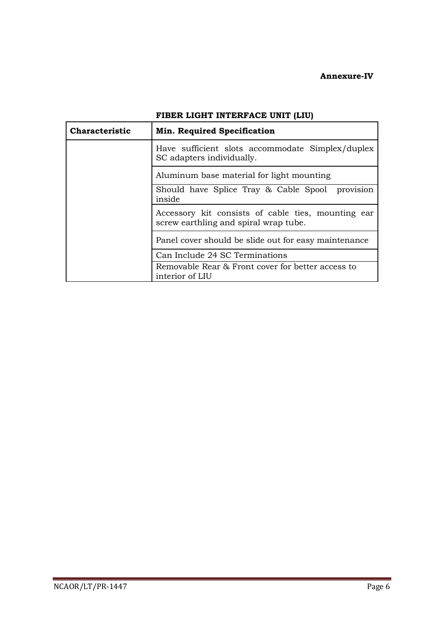### **Annexure-IV**

٦

| <b>Characteristic</b> | <b>Min. Required Specification</b>                                                          |
|-----------------------|---------------------------------------------------------------------------------------------|
|                       | Have sufficient slots accommodate Simplex/duplex<br>SC adapters individually.               |
|                       | Aluminum base material for light mounting                                                   |
|                       | Should have Splice Tray & Cable Spool provision<br>inside                                   |
|                       | Accessory kit consists of cable ties, mounting ear<br>screw earthling and spiral wrap tube. |
|                       | Panel cover should be slide out for easy maintenance                                        |
|                       | Can Include 24 SC Terminations                                                              |
|                       | Removable Rear & Front cover for better access to<br>interior of LIU                        |

### **FIBER LIGHT INTERFACE UNIT (LIU)**

r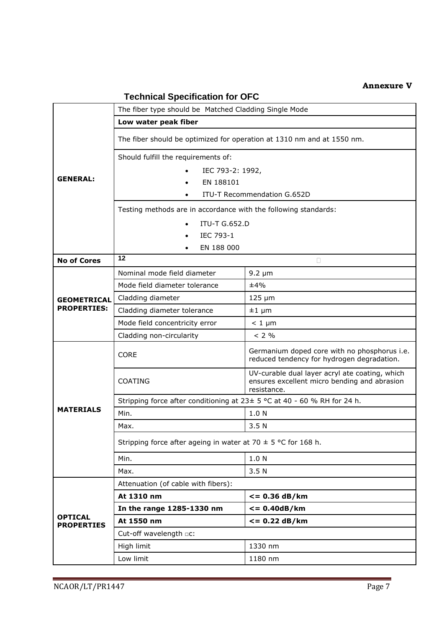### **Annexure V**

|                    | The fiber type should be Matched Cladding Single Mode                    |                                                                                                               |
|--------------------|--------------------------------------------------------------------------|---------------------------------------------------------------------------------------------------------------|
|                    | Low water peak fiber                                                     |                                                                                                               |
|                    | The fiber should be optimized for operation at 1310 nm and at 1550 nm.   |                                                                                                               |
|                    | Should fulfill the requirements of:                                      |                                                                                                               |
|                    | IEC 793-2: 1992,                                                         |                                                                                                               |
| <b>GENERAL:</b>    | EN 188101<br>$\bullet$                                                   |                                                                                                               |
|                    |                                                                          | ITU-T Recommendation G.652D                                                                                   |
|                    | Testing methods are in accordance with the following standards:          |                                                                                                               |
|                    | <b>ITU-T G.652.D</b>                                                     |                                                                                                               |
|                    | IEC 793-1                                                                |                                                                                                               |
|                    | EN 188 000                                                               |                                                                                                               |
| <b>No of Cores</b> | $12 \,$                                                                  | $\Box$                                                                                                        |
|                    | Nominal mode field diameter                                              | $9.2 \mu m$                                                                                                   |
|                    | Mode field diameter tolerance                                            | ±4%                                                                                                           |
| <b>GEOMETRICAL</b> | Cladding diameter                                                        | $125 \mu m$                                                                                                   |
| <b>PROPERTIES:</b> | Cladding diameter tolerance                                              | $±1 \mu m$                                                                                                    |
|                    | Mode field concentricity error                                           | $< 1 \mu m$                                                                                                   |
|                    | Cladding non-circularity                                                 | < 2 %                                                                                                         |
|                    | <b>CORE</b>                                                              | Germanium doped core with no phosphorus i.e.<br>reduced tendency for hydrogen degradation.                    |
|                    | <b>COATING</b>                                                           | UV-curable dual layer acryl ate coating, which<br>ensures excellent micro bending and abrasion<br>resistance. |
|                    | Stripping force after conditioning at 23± 5 °C at 40 - 60 % RH for 24 h. |                                                                                                               |
| <b>MATERIALS</b>   | Min.                                                                     | 1.0 <sub>N</sub>                                                                                              |
|                    | Max.                                                                     | 3.5N                                                                                                          |
|                    | Stripping force after ageing in water at 70 $\pm$ 5 °C for 168 h.        |                                                                                                               |
|                    | Min.                                                                     | 1.0 N                                                                                                         |
|                    | Max.                                                                     | 3.5 <sub>N</sub>                                                                                              |
|                    | Attenuation (of cable with fibers):                                      |                                                                                                               |
|                    | At 1310 nm                                                               | $= 0.36$ dB/km                                                                                                |
| <b>OPTICAL</b>     | In the range 1285-1330 nm                                                | $\leq$ = 0.40dB/km                                                                                            |
| <b>PROPERTIES</b>  | At 1550 nm                                                               | $= 0.22$ dB/km                                                                                                |
|                    | Cut-off wavelength <b>DC</b> :                                           |                                                                                                               |
|                    | High limit                                                               | 1330 nm                                                                                                       |
|                    | Low limit                                                                | 1180 nm                                                                                                       |

## **Technical Specification for OFC**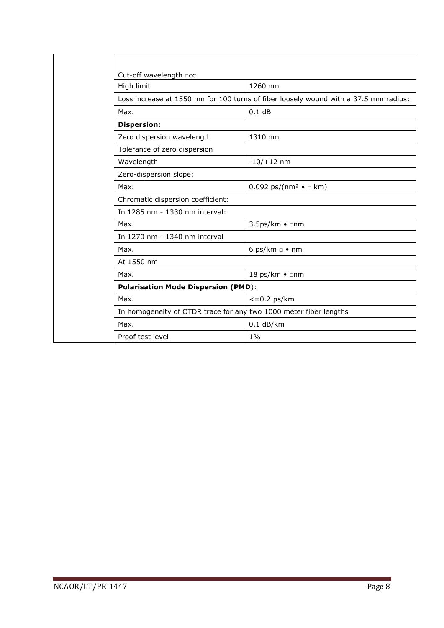| Cut-off wavelength acc                     |                                                                                      |
|--------------------------------------------|--------------------------------------------------------------------------------------|
| High limit                                 | 1260 nm                                                                              |
|                                            | Loss increase at 1550 nm for 100 turns of fiber loosely wound with a 37.5 mm radius: |
| Max.                                       | 0.1 dB                                                                               |
| <b>Dispersion:</b>                         |                                                                                      |
| Zero dispersion wavelength                 | 1310 nm                                                                              |
| Tolerance of zero dispersion               |                                                                                      |
| Wavelength                                 | $-10/+12$ nm                                                                         |
| Zero-dispersion slope:                     |                                                                                      |
| Max.                                       | 0.092 ps/(nm <sup>2</sup> $\bullet$ $\Box$ km)                                       |
| Chromatic dispersion coefficient:          |                                                                                      |
| In 1285 nm - 1330 nm interval:             |                                                                                      |
| Max.                                       | 3.5ps/km • □nm                                                                       |
| In 1270 nm - 1340 nm interval              |                                                                                      |
| Max.                                       | 6 ps/km $\Box$ • nm                                                                  |
| At 1550 nm                                 |                                                                                      |
| Max.                                       | 18 ps/km • □nm                                                                       |
| <b>Polarisation Mode Dispersion (PMD):</b> |                                                                                      |
| Max.                                       | $<=0.2$ ps/km                                                                        |
|                                            | In homogeneity of OTDR trace for any two 1000 meter fiber lengths                    |
| Max.                                       | $0.1$ dB/km                                                                          |
| Proof test level                           | $1\%$                                                                                |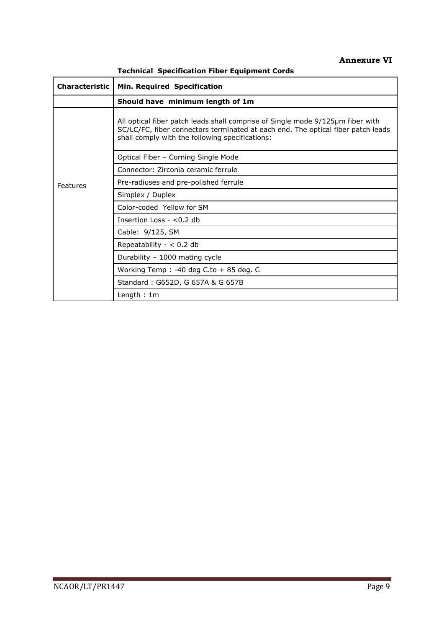### **Annexure VI**

**Technical Specification Fiber Equipment Cords** 

| <b>Characteristic</b> | Min. Required Specification                                                                                                                                                                                           |  |
|-----------------------|-----------------------------------------------------------------------------------------------------------------------------------------------------------------------------------------------------------------------|--|
|                       | Should have minimum length of 1m                                                                                                                                                                                      |  |
|                       | All optical fiber patch leads shall comprise of Single mode 9/125µm fiber with<br>SC/LC/FC, fiber connectors terminated at each end. The optical fiber patch leads<br>shall comply with the following specifications: |  |
|                       | Optical Fiber - Corning Single Mode                                                                                                                                                                                   |  |
|                       | Connector: Zirconia ceramic ferrule                                                                                                                                                                                   |  |
| Features              | Pre-radiuses and pre-polished ferrule                                                                                                                                                                                 |  |
|                       | Simplex / Duplex                                                                                                                                                                                                      |  |
|                       | Color-coded Yellow for SM                                                                                                                                                                                             |  |
|                       | Insertion Loss $-$ <0.2 db                                                                                                                                                                                            |  |
|                       | Cable: 9/125, SM                                                                                                                                                                                                      |  |
|                       | Repeatability - $< 0.2$ db                                                                                                                                                                                            |  |
|                       | Durability - 1000 mating cycle                                                                                                                                                                                        |  |
|                       | Working Temp : -40 deg C.to + 85 deg. C                                                                                                                                                                               |  |
|                       | Standard: G652D, G 657A & G 657B                                                                                                                                                                                      |  |
|                       | Length: $1m$                                                                                                                                                                                                          |  |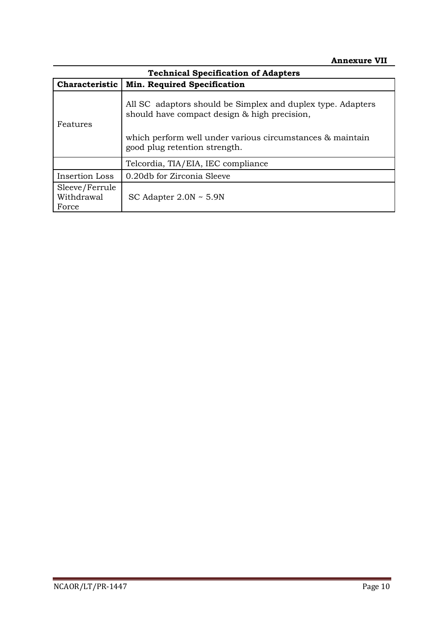| <b>Technical Specification of Adapters</b> |                                                                                                             |  |
|--------------------------------------------|-------------------------------------------------------------------------------------------------------------|--|
| <b>Characteristic</b>                      | <b>Min. Required Specification</b>                                                                          |  |
| Features                                   | All SC adaptors should be Simplex and duplex type. Adapters<br>should have compact design & high precision, |  |
|                                            | which perform well under various circumstances & maintain<br>good plug retention strength.                  |  |
|                                            | Telcordia, TIA/EIA, IEC compliance                                                                          |  |
| Insertion Loss                             | 0.20db for Zirconia Sleeve                                                                                  |  |
| Sleeve/Ferrule<br>Withdrawal<br>Force      | SC Adapter $2.0N \sim 5.9N$                                                                                 |  |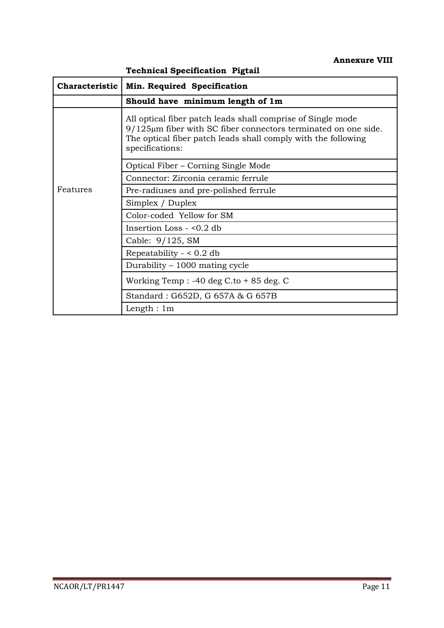|                       | <b>Technical Specification Pigtail</b>                                                                                                                                                                                 |
|-----------------------|------------------------------------------------------------------------------------------------------------------------------------------------------------------------------------------------------------------------|
| <b>Characteristic</b> | Min. Required Specification                                                                                                                                                                                            |
|                       | Should have minimum length of 1m                                                                                                                                                                                       |
|                       | All optical fiber patch leads shall comprise of Single mode<br>$9/125\mu$ m fiber with SC fiber connectors terminated on one side.<br>The optical fiber patch leads shall comply with the following<br>specifications: |
|                       | Optical Fiber – Corning Single Mode                                                                                                                                                                                    |
|                       | Connector: Zirconia ceramic ferrule                                                                                                                                                                                    |
| Features              | Pre-radiuses and pre-polished ferrule                                                                                                                                                                                  |
|                       | Simplex / Duplex                                                                                                                                                                                                       |
|                       | Color-coded Yellow for SM                                                                                                                                                                                              |
|                       | Insertion Loss - <0.2 db                                                                                                                                                                                               |
|                       | Cable: 9/125, SM                                                                                                                                                                                                       |
|                       | Repeatability - $< 0.2$ db                                                                                                                                                                                             |
|                       | Durability $-1000$ mating cycle                                                                                                                                                                                        |
|                       | Working Temp : $-40$ deg C.to $+85$ deg. C                                                                                                                                                                             |
|                       | Standard: G652D, G 657A & G 657B                                                                                                                                                                                       |
|                       | Length : $1m$                                                                                                                                                                                                          |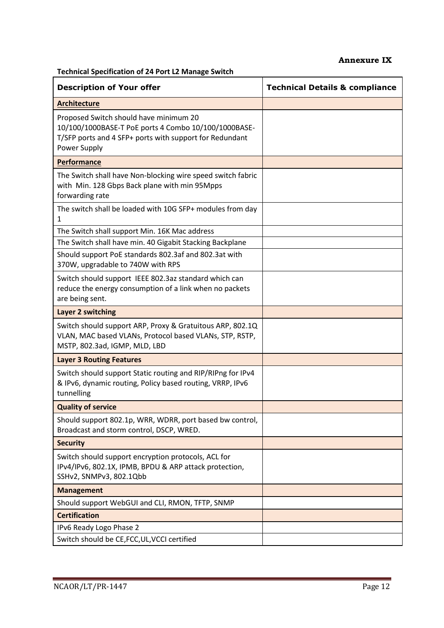### **Annexure IX**

**Technical Specification of 24 Port L2 Manage Switch**

| <b>Description of Your offer</b>                                                                                                                                          | <b>Technical Details &amp; compliance</b> |
|---------------------------------------------------------------------------------------------------------------------------------------------------------------------------|-------------------------------------------|
| <b>Architecture</b>                                                                                                                                                       |                                           |
| Proposed Switch should have minimum 20<br>10/100/1000BASE-T PoE ports 4 Combo 10/100/1000BASE-<br>T/SFP ports and 4 SFP+ ports with support for Redundant<br>Power Supply |                                           |
| Performance                                                                                                                                                               |                                           |
| The Switch shall have Non-blocking wire speed switch fabric<br>with Min. 128 Gbps Back plane with min 95Mpps<br>forwarding rate                                           |                                           |
| The switch shall be loaded with 10G SFP+ modules from day<br>1                                                                                                            |                                           |
| The Switch shall support Min. 16K Mac address                                                                                                                             |                                           |
| The Switch shall have min. 40 Gigabit Stacking Backplane                                                                                                                  |                                           |
| Should support PoE standards 802.3af and 802.3at with<br>370W, upgradable to 740W with RPS                                                                                |                                           |
| Switch should support IEEE 802.3az standard which can<br>reduce the energy consumption of a link when no packets<br>are being sent.                                       |                                           |
| Layer 2 switching                                                                                                                                                         |                                           |
| Switch should support ARP, Proxy & Gratuitous ARP, 802.1Q<br>VLAN, MAC based VLANs, Protocol based VLANs, STP, RSTP,<br>MSTP, 802.3ad, IGMP, MLD, LBD                     |                                           |
| <b>Layer 3 Routing Features</b>                                                                                                                                           |                                           |
| Switch should support Static routing and RIP/RIPng for IPv4<br>& IPv6, dynamic routing, Policy based routing, VRRP, IPv6<br>tunnelling                                    |                                           |
| <b>Quality of service</b>                                                                                                                                                 |                                           |
| Should support 802.1p, WRR, WDRR, port based bw control,<br>Broadcast and storm control, DSCP, WRED.                                                                      |                                           |
| <b>Security</b>                                                                                                                                                           |                                           |
| Switch should support encryption protocols, ACL for<br>IPv4/IPv6, 802.1X, IPMB, BPDU & ARP attack protection,<br>SSHv2, SNMPv3, 802.1Qbb                                  |                                           |
| <b>Management</b>                                                                                                                                                         |                                           |
| Should support WebGUI and CLI, RMON, TFTP, SNMP                                                                                                                           |                                           |
| <b>Certification</b>                                                                                                                                                      |                                           |
| IPv6 Ready Logo Phase 2<br>Switch should be CE, FCC, UL, VCCI certified                                                                                                   |                                           |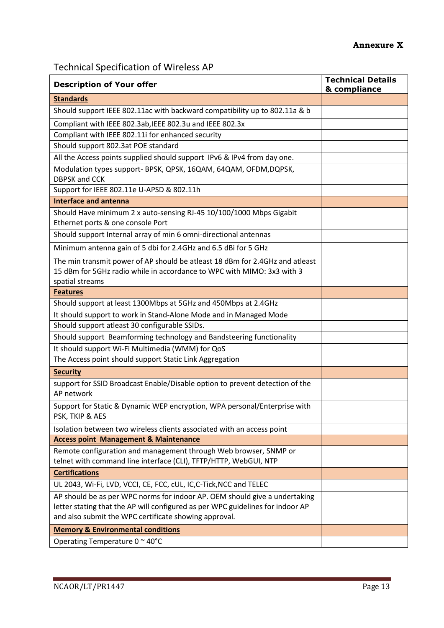Technical Specification of Wireless AP

| <b>Description of Your offer</b>                                                                                                                                          | <b>Technical Details</b><br>& compliance |
|---------------------------------------------------------------------------------------------------------------------------------------------------------------------------|------------------------------------------|
| <b>Standards</b>                                                                                                                                                          |                                          |
| Should support IEEE 802.11ac with backward compatibility up to 802.11a & b                                                                                                |                                          |
| Compliant with IEEE 802.3ab, IEEE 802.3u and IEEE 802.3x                                                                                                                  |                                          |
| Compliant with IEEE 802.11i for enhanced security                                                                                                                         |                                          |
| Should support 802.3at POE standard                                                                                                                                       |                                          |
| All the Access points supplied should support IPv6 & IPv4 from day one.                                                                                                   |                                          |
| Modulation types support- BPSK, QPSK, 16QAM, 64QAM, OFDM, DQPSK,<br><b>DBPSK and CCK</b>                                                                                  |                                          |
| Support for IEEE 802.11e U-APSD & 802.11h                                                                                                                                 |                                          |
| <b>Interface and antenna</b>                                                                                                                                              |                                          |
| Should Have minimum 2 x auto-sensing RJ-45 10/100/1000 Mbps Gigabit<br>Ethernet ports & one console Port                                                                  |                                          |
| Should support Internal array of min 6 omni-directional antennas                                                                                                          |                                          |
| Minimum antenna gain of 5 dbi for 2.4GHz and 6.5 dBi for 5 GHz                                                                                                            |                                          |
| The min transmit power of AP should be atleast 18 dBm for 2.4GHz and atleast<br>15 dBm for 5GHz radio while in accordance to WPC with MIMO: 3x3 with 3<br>spatial streams |                                          |
| <b>Features</b>                                                                                                                                                           |                                          |
| Should support at least 1300Mbps at 5GHz and 450Mbps at 2.4GHz                                                                                                            |                                          |
| It should support to work in Stand-Alone Mode and in Managed Mode                                                                                                         |                                          |
| Should support atleast 30 configurable SSIDs.                                                                                                                             |                                          |
| Should support Beamforming technology and Bandsteering functionality                                                                                                      |                                          |
| It should support Wi-Fi Multimedia (WMM) for QoS                                                                                                                          |                                          |
| The Access point should support Static Link Aggregation                                                                                                                   |                                          |
| <b>Security</b>                                                                                                                                                           |                                          |
| support for SSID Broadcast Enable/Disable option to prevent detection of the<br>AP network                                                                                |                                          |
| Support for Static & Dynamic WEP encryption, WPA personal/Enterprise with<br>PSK, TKIP & AES                                                                              |                                          |
| Isolation between two wireless clients associated with an access point                                                                                                    |                                          |
| <b>Access point Management &amp; Maintenance</b>                                                                                                                          |                                          |
| Remote configuration and management through Web browser, SNMP or<br>telnet with command line interface (CLI), TFTP/HTTP, WebGUI, NTP                                      |                                          |
| <b>Certifications</b>                                                                                                                                                     |                                          |
| UL 2043, Wi-Fi, LVD, VCCI, CE, FCC, cUL, IC, C-Tick, NCC and TELEC                                                                                                        |                                          |
| AP should be as per WPC norms for indoor AP. OEM should give a undertaking                                                                                                |                                          |
| letter stating that the AP will configured as per WPC guidelines for indoor AP                                                                                            |                                          |
| and also submit the WPC certificate showing approval.                                                                                                                     |                                          |
| <b>Memory &amp; Environmental conditions</b>                                                                                                                              |                                          |
| Operating Temperature 0 ~ 40°C                                                                                                                                            |                                          |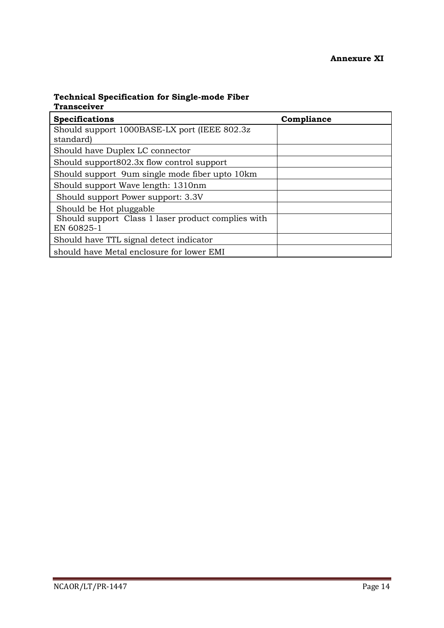| <b>Specifications</b>                              | Compliance |
|----------------------------------------------------|------------|
| Should support 1000BASE-LX port (IEEE 802.3z)      |            |
| standard)                                          |            |
| Should have Duplex LC connector                    |            |
| Should support 802.3x flow control support         |            |
| Should support 9um single mode fiber upto 10km     |            |
| Should support Wave length: 1310nm                 |            |
| Should support Power support: 3.3V                 |            |
| Should be Hot pluggable                            |            |
| Should support Class 1 laser product complies with |            |
| EN 60825-1                                         |            |
| Should have TTL signal detect indicator            |            |
| should have Metal enclosure for lower EMI          |            |

### **Technical Specification for Single-mode Fiber Transceiver**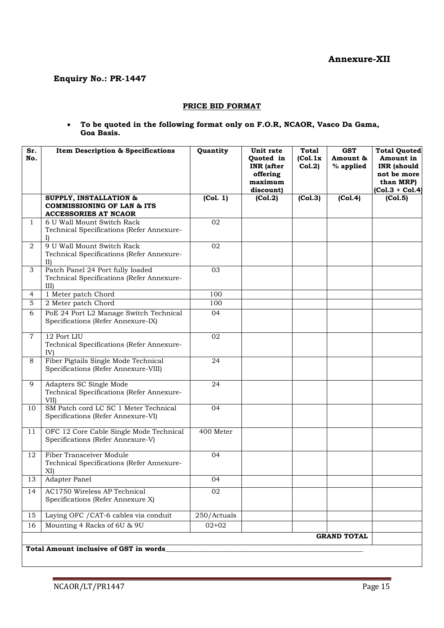### **Enquiry No.: PR-1447**

#### **PRICE BID FORMAT**

#### **To be quoted in the following format only on F.O.R, NCAOR, Vasco Da Gama, Goa Basis.**

| Sr.<br>No.     | <b>Item Description &amp; Specifications</b>                                         | Quantity    | Unit rate<br>Quoted in<br><b>INR</b> (after<br>offering<br>maximum<br>discount) | <b>Total</b><br>(Col.1x)<br>Col.2) | <b>GST</b><br>Amount &<br>% applied | <b>Total Quoted</b><br>Amount in<br><b>INR</b> (should<br>not be more<br>than MRP)<br>$[Co1.3 + Co1.4]$ |
|----------------|--------------------------------------------------------------------------------------|-------------|---------------------------------------------------------------------------------|------------------------------------|-------------------------------------|---------------------------------------------------------------------------------------------------------|
|                | <b>SUPPLY, INSTALLATION &amp;</b>                                                    | (Col. 1)    | (Col.2)                                                                         | (Col.3)                            | (Col.4)                             | (Col.5)                                                                                                 |
|                | <b>COMMISSIONING OF LAN &amp; ITS</b><br><b>ACCESSORIES AT NCAOR</b>                 |             |                                                                                 |                                    |                                     |                                                                                                         |
| 1              | 6 U Wall Mount Switch Rack<br>Technical Specifications (Refer Annexure-              | 02          |                                                                                 |                                    |                                     |                                                                                                         |
| 2              | 9 U Wall Mount Switch Rack<br>Technical Specifications (Refer Annexure-<br>II)       | 02          |                                                                                 |                                    |                                     |                                                                                                         |
| 3              | Patch Panel 24 Port fully loaded<br>Technical Specifications (Refer Annexure-<br>III | 03          |                                                                                 |                                    |                                     |                                                                                                         |
| 4              | 1 Meter patch Chord                                                                  | 100         |                                                                                 |                                    |                                     |                                                                                                         |
| 5              | 2 Meter patch Chord                                                                  | 100         |                                                                                 |                                    |                                     |                                                                                                         |
| 6              | PoE 24 Port L2 Manage Switch Technical<br>Specifications (Refer Annexure-IX)         | 04          |                                                                                 |                                    |                                     |                                                                                                         |
| $\overline{7}$ | 12 Port LIU<br>Technical Specifications (Refer Annexure-<br>IV)                      | 02          |                                                                                 |                                    |                                     |                                                                                                         |
| 8              | Fiber Pigtails Single Mode Technical<br>Specifications (Refer Annexure-VIII)         | 24          |                                                                                 |                                    |                                     |                                                                                                         |
| 9              | Adapters SC Single Mode<br>Technical Specifications (Refer Annexure-<br>VII)         | 24          |                                                                                 |                                    |                                     |                                                                                                         |
| 10             | SM Patch cord LC SC 1 Meter Technical<br>Specifications (Refer Annexure-VI)          | 04          |                                                                                 |                                    |                                     |                                                                                                         |
| 11             | OFC 12 Core Cable Single Mode Technical<br>Specifications (Refer Annexure-V)         | 400 Meter   |                                                                                 |                                    |                                     |                                                                                                         |
| 12             | <b>Fiber Transceiver Module</b><br>Technical Specifications (Refer Annexure-<br>XI)  | 04          |                                                                                 |                                    |                                     |                                                                                                         |
| 13             | Adapter Panel                                                                        | 04          |                                                                                 |                                    |                                     |                                                                                                         |
| 14             | <b>AC1750 Wireless AP Technical</b><br>Specifications (Refer Annexure X)             | 02          |                                                                                 |                                    |                                     |                                                                                                         |
| 15             | Laying OFC / CAT-6 cables via conduit                                                | 250/Actuals |                                                                                 |                                    |                                     |                                                                                                         |
| 16             | Mounting 4 Racks of 6U & 9U                                                          | $02 + 02$   |                                                                                 |                                    |                                     |                                                                                                         |
|                |                                                                                      |             |                                                                                 |                                    | <b>GRAND TOTAL</b>                  |                                                                                                         |
|                | Total Amount inclusive of GST in words                                               |             |                                                                                 |                                    |                                     |                                                                                                         |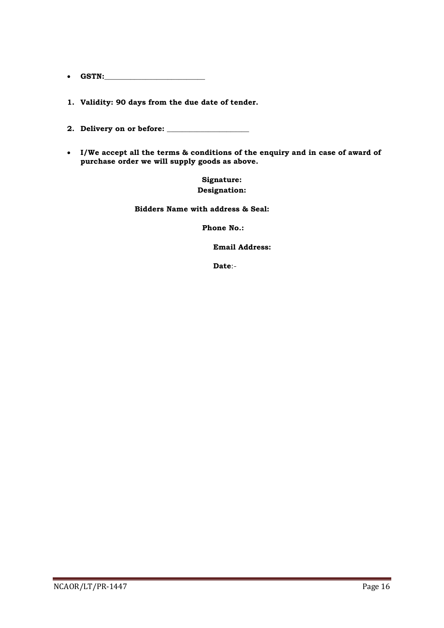- **GSTN:\_\_\_\_\_\_\_\_\_\_\_\_\_\_\_\_\_\_\_\_\_\_\_\_\_\_\_**
- **1. Validity: 90 days from the due date of tender.**
- **2. Delivery on or before: \_\_\_\_\_\_\_\_\_\_\_\_\_\_\_\_\_\_\_\_\_\_**
- **I/We accept all the terms & conditions of the enquiry and in case of award of purchase order we will supply goods as above.**

**Signature: Designation:**

 **Bidders Name with address & Seal:**

**Phone No.:**

 **Email Address:**

**Date**:-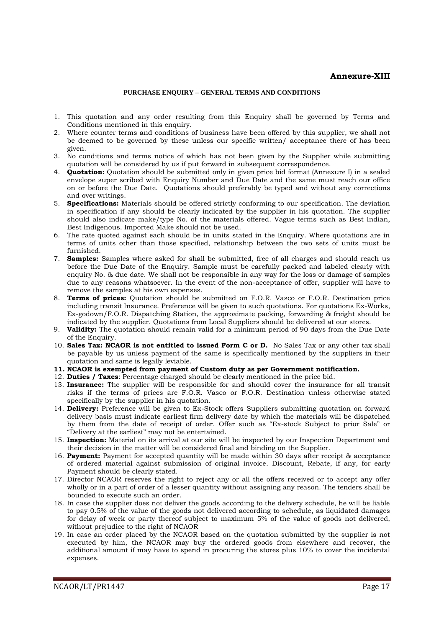#### **Annexure-XIII**

#### **PURCHASE ENQUIRY – GENERAL TERMS AND CONDITIONS**

- 1. This quotation and any order resulting from this Enquiry shall be governed by Terms and Conditions mentioned in this enquiry.
- 2. Where counter terms and conditions of business have been offered by this supplier, we shall not be deemed to be governed by these unless our specific written/ acceptance there of has been given.
- 3. No conditions and terms notice of which has not been given by the Supplier while submitting quotation will be considered by us if put forward in subsequent correspondence.
- 4. **Quotation:** Quotation should be submitted only in given price bid format (Annexure I) in a sealed envelope super scribed with Enquiry Number and Due Date and the same must reach our office on or before the Due Date. Quotations should preferably be typed and without any corrections and over writings.
- 5. **Specifications:** Materials should be offered strictly conforming to our specification. The deviation in specification if any should be clearly indicated by the supplier in his quotation. The supplier should also indicate make/type No. of the materials offered. Vague terms such as Best Indian, Best Indigenous. Imported Make should not be used.
- 6. The rate quoted against each should be in units stated in the Enquiry. Where quotations are in terms of units other than those specified, relationship between the two sets of units must be furnished.
- 7. **Samples:** Samples where asked for shall be submitted, free of all charges and should reach us before the Due Date of the Enquiry. Sample must be carefully packed and labeled clearly with enquiry No. & due date. We shall not be responsible in any way for the loss or damage of samples due to any reasons whatsoever. In the event of the non-acceptance of offer, supplier will have to remove the samples at his own expenses.
- 8. **Terms of prices:** Quotation should be submitted on F.O.R. Vasco or F.O.R. Destination price including transit Insurance. Preference will be given to such quotations. For quotations Ex-Works, Ex-godown/F.O.R. Dispatching Station, the approximate packing, forwarding & freight should be indicated by the supplier. Quotations from Local Suppliers should be delivered at our stores.
- 9. **Validity:** The quotation should remain valid for a minimum period of 90 days from the Due Date of the Enquiry.
- 10. **Sales Tax: NCAOR is not entitled to issued Form C or D.** No Sales Tax or any other tax shall be payable by us unless payment of the same is specifically mentioned by the suppliers in their quotation and same is legally leviable.
- **11. NCAOR is exempted from payment of Custom duty as per Government notification.**
- 12. **Duties / Taxes**: Percentage charged should be clearly mentioned in the price bid.
- 13. **Insurance:** The supplier will be responsible for and should cover the insurance for all transit risks if the terms of prices are F.O.R. Vasco or F.O.R. Destination unless otherwise stated specifically by the supplier in his quotation.
- 14. **Delivery:** Preference will be given to Ex-Stock offers Suppliers submitting quotation on forward delivery basis must indicate earliest firm delivery date by which the materials will be dispatched by them from the date of receipt of order. Offer such as "Ex-stock Subject to prior Sale" or "Delivery at the earliest" may not be entertained.
- 15. **Inspection:** Material on its arrival at our site will be inspected by our Inspection Department and their decision in the matter will be considered final and binding on the Supplier.
- 16. **Payment:** Payment for accepted quantity will be made within 30 days after receipt & acceptance of ordered material against submission of original invoice. Discount, Rebate, if any, for early Payment should be clearly stated.
- 17. Director NCAOR reserves the right to reject any or all the offers received or to accept any offer wholly or in a part of order of a lesser quantity without assigning any reason. The tenders shall be bounded to execute such an order.
- 18. In case the supplier does not deliver the goods according to the delivery schedule, he will be liable to pay 0.5% of the value of the goods not delivered according to schedule, as liquidated damages for delay of week or party thereof subject to maximum 5% of the value of goods not delivered, without prejudice to the right of NCAOR
- 19. In case an order placed by the NCAOR based on the quotation submitted by the supplier is not executed by him, the NCAOR may buy the ordered goods from elsewhere and recover, the additional amount if may have to spend in procuring the stores plus 10% to cover the incidental expenses.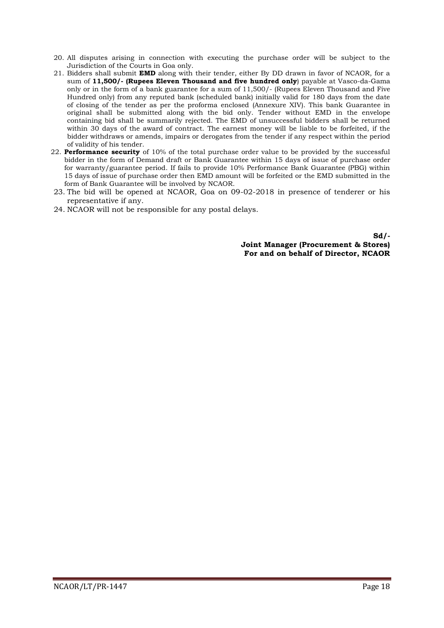- 20. All disputes arising in connection with executing the purchase order will be subject to the Jurisdiction of the Courts in Goa only.
- 21. Bidders shall submit **EMD** along with their tender, either By DD drawn in favor of NCAOR, for a sum of **11,500/- (Rupees Eleven Thousand and five hundred only**) payable at Vasco-da-Gama only or in the form of a bank guarantee for a sum of 11,500/- (Rupees Eleven Thousand and Five Hundred only) from any reputed bank (scheduled bank) initially valid for 180 days from the date of closing of the tender as per the proforma enclosed (Annexure XIV). This bank Guarantee in original shall be submitted along with the bid only. Tender without EMD in the envelope containing bid shall be summarily rejected. The EMD of unsuccessful bidders shall be returned within 30 days of the award of contract. The earnest money will be liable to be forfeited, if the bidder withdraws or amends, impairs or derogates from the tender if any respect within the period of validity of his tender.
- 22. **Performance security** of 10% of the total purchase order value to be provided by the successful bidder in the form of Demand draft or Bank Guarantee within 15 days of issue of purchase order for warranty/guarantee period. If fails to provide 10% Performance Bank Guarantee (PBG) within 15 days of issue of purchase order then EMD amount will be forfeited or the EMD submitted in the form of Bank Guarantee will be involved by NCAOR.
- 23. The bid will be opened at NCAOR, Goa on 09-02-2018 in presence of tenderer or his representative if any.
- 24. NCAOR will not be responsible for any postal delays.

**Sd/- Joint Manager (Procurement & Stores) For and on behalf of Director, NCAOR**